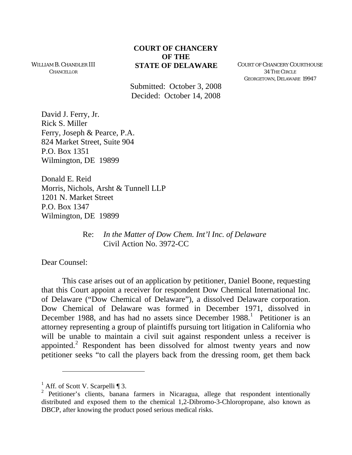## **COURT OF CHANCERY OF THE STATE OF DELAWARE** COURT OF CHANCERY COURTHOUSE

WILLIAM B. CHANDLER III CHANCELLOR

> Submitted: October 3, 2008 Decided: October 14, 2008

34 THE CIRCLE GEORGETOWN, DELAWARE 19947

David J. Ferry, Jr. Rick S. Miller Ferry, Joseph & Pearce, P.A. 824 Market Street, Suite 904 P.O. Box 1351 Wilmington, DE 19899

Donald E. Reid Morris, Nichols, Arsht & Tunnell LLP 1201 N. Market Street P.O. Box 1347 Wilmington, DE 19899

> Re: *In the Matter of Dow Chem. Int'l Inc. of Delaware* Civil Action No. 3972-CC

Dear Counsel:

-

This case arises out of an application by petitioner, Daniel Boone, requesting that this Court appoint a receiver for respondent Dow Chemical International Inc. of Delaware ("Dow Chemical of Delaware"), a dissolved Delaware corporation. Dow Chemical of Delaware was formed in December 1971, dissolved in December [1](#page-0-0)988, and has had no assets since December 1988.<sup>1</sup> Petitioner is an attorney representing a group of plaintiffs pursuing tort litigation in California who will be unable to maintain a civil suit against respondent unless a receiver is appointed.<sup>[2](#page-0-1)</sup> Respondent has been dissolved for almost twenty years and now petitioner seeks "to call the players back from the dressing room, get them back

<span id="page-0-0"></span><sup>&</sup>lt;sup>1</sup> Aff. of Scott V. Scarpelli ¶ 3.

<span id="page-0-1"></span><sup>&</sup>lt;sup>2</sup> Petitioner's clients, banana farmers in Nicaragua, allege that respondent intentionally distributed and exposed them to the chemical 1,2-Dibromo-3-Chloropropane, also known as DBCP, after knowing the product posed serious medical risks.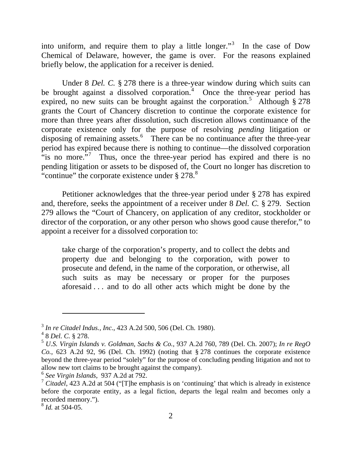into uniform, and require them to play a little longer."<sup>[3](#page-1-0)</sup> In the case of Dow Chemical of Delaware, however, the game is over. For the reasons explained briefly below, the application for a receiver is denied.

Under 8 *Del. C.* § 278 there is a three-year window during which suits can be brought against a dissolved corporation.<sup> $4$ </sup> Once the three-year period has expired, no new suits can be brought against the corporation.<sup>[5](#page-1-2)</sup> Although  $\S 278$ grants the Court of Chancery discretion to continue the corporate existence for more than three years after dissolution, such discretion allows continuance of the corporate existence only for the purpose of resolving *pending* litigation or disposing of remaining assets.<sup>[6](#page-1-3)</sup> There can be no continuance after the three-year period has expired because there is nothing to continue—the dissolved corporation "is no more."<sup>[7](#page-1-4)</sup> Thus, once the three-year period has expired and there is no pending litigation or assets to be disposed of, the Court no longer has discretion to "continue" the corporate existence under  $\S 278$  $\S 278$ .<sup>8</sup>

Petitioner acknowledges that the three-year period under § 278 has expired and, therefore, seeks the appointment of a receiver under 8 *Del. C.* § 279. Section 279 allows the "Court of Chancery, on application of any creditor, stockholder or director of the corporation, or any other person who shows good cause therefor," to appoint a receiver for a dissolved corporation to:

take charge of the corporation's property, and to collect the debts and property due and belonging to the corporation, with power to prosecute and defend, in the name of the corporation, or otherwise, all such suits as may be necessary or proper for the purposes aforesaid . . . and to do all other acts which might be done by the

 $\overline{a}$ 

<span id="page-1-0"></span><sup>3</sup> *In re Citadel Indus., Inc.*, 423 A.2d 500, 506 (Del. Ch. 1980).

<sup>4</sup> 8 *Del. C.* § 278.

<span id="page-1-2"></span><span id="page-1-1"></span><sup>5</sup> *U.S. Virgin Islands v. Goldman, Sachs & Co.*, 937 A.2d 760, 789 (Del. Ch. 2007); *In re RegO Co.*, 623 A.2d 92, 96 (Del. Ch. 1992) (noting that § 278 continues the corporate existence beyond the three-year period "solely" for the purpose of concluding pending litigation and not to allow new tort claims to be brought against the company).

<span id="page-1-3"></span><sup>6</sup> *See Virgin Islands*, 937 A.2d at 792.

<span id="page-1-4"></span><sup>&</sup>lt;sup>7</sup> Citadel, 423 A.2d at 504 ("[T]he emphasis is on 'continuing' that which is already in existence before the corporate entity, as a legal fiction, departs the legal realm and becomes only a recorded memory.").

<span id="page-1-5"></span><sup>8</sup> *Id.* at 504-05.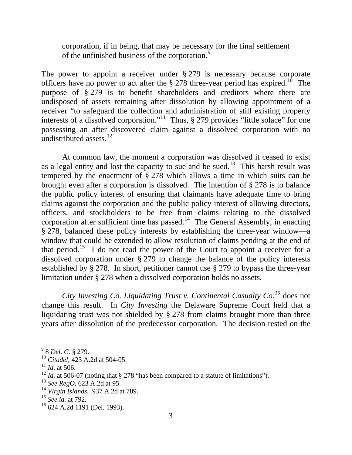corporation, if in being, that may be necessary for the final settlement of the unfinished business of the corporation.<sup>[9](#page-2-0)</sup>

The power to appoint a receiver under § 279 is necessary because corporate officers have no power to act after the  $\S 278$  three-year period has expired.<sup>[10](#page-2-1)</sup> The purpose of § 279 is to benefit shareholders and creditors where there are undisposed of assets remaining after dissolution by allowing appointment of a receiver "to safeguard the collection and administration of still existing property interests of a dissolved corporation."<sup>[11](#page-2-2)</sup> Thus, § 279 provides "little solace" for one possessing an after discovered claim against a dissolved corporation with no undistributed assets. $^{12}$  $^{12}$  $^{12}$ 

At common law, the moment a corporation was dissolved it ceased to exist as a legal entity and lost the capacity to sue and be sued.<sup>[13](#page-2-4)</sup> This harsh result was tempered by the enactment of § 278 which allows a time in which suits can be brought even after a corporation is dissolved. The intention of § 278 is to balance the public policy interest of ensuring that claimants have adequate time to bring claims against the corporation and the public policy interest of allowing directors, officers, and stockholders to be free from claims relating to the dissolved corporation after sufficient time has passed.<sup>[14](#page-2-5)</sup> The General Assembly, in enacting § 278, balanced these policy interests by establishing the three-year window—a window that could be extended to allow resolution of claims pending at the end of that period.<sup>[15](#page-2-6)</sup> I do not read the power of the Court to appoint a receiver for a dissolved corporation under § 279 to change the balance of the policy interests established by § 278. In short, petitioner cannot use § 279 to bypass the three-year limitation under § 278 when a dissolved corporation holds no assets.

*City Investing Co. Liquidating Trust v. Continental Casualty Co.[16](#page-2-7)* does not change this result. In *City Investing* the Delaware Supreme Court held that a liquidating trust was not shielded by § 278 from claims brought more than three years after dissolution of the predecessor corporation. The decision rested on the

 $\overline{a}$ 

<span id="page-2-0"></span><sup>9</sup> 8 *Del. C.* § 279.

<span id="page-2-1"></span><sup>10</sup> *Citadel*, 423 A.2d at 504-05.

<span id="page-2-2"></span><sup>11</sup> *Id.* at 506.

<span id="page-2-3"></span><sup>&</sup>lt;sup>12</sup> *Id.* at 506-07 (noting that § 278 "has been compared to a statute of limitations").

<span id="page-2-4"></span><sup>13</sup> *See RegO*, 623 A.2d at 95.

<span id="page-2-5"></span><sup>14</sup> *Virgin Islands*, 937 A.2d at 789.

<span id="page-2-6"></span><sup>15</sup> *See id.* at 792.

<span id="page-2-7"></span><sup>16 624</sup> A.2d 1191 (Del. 1993).